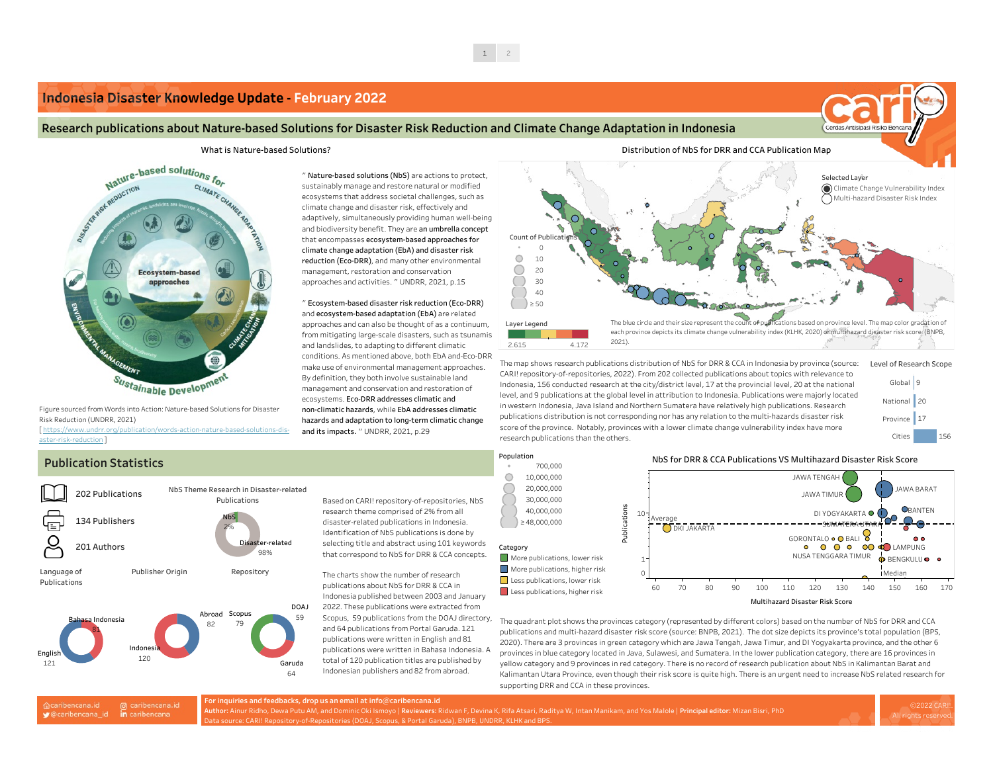## **Publication Statistics**

Based on CARI! repository-of-repositories, NbS research theme comprised of 2% from all disaster-related publications in Indonesia. Identification of NbS publications is done by selecting title and abstract using 101 keywords that correspond to NbS for DRR & CCA concepts.

The charts show the number of research publications about NbS for DRR & CCA in Indonesia published between 2003 and January 2022. These publications were extracted from Scopus, 59 publications from the DOAJ directory, and 64 publications from Portal Garuda. 121 publications were written in English and 81 publications were written in Bahasa Indonesia. A total of 120 publication titles are published by Indonesian publishers and 82 from abroad.

@ caribencana.id acaribencana.id

**v** @caribencana\_id in caribencana

" **Nature-based solutions (NbS)** are actions to protect, sustainably manage and restore natural or modified ecosystems that address societal challenges, such as climate change and disaster risk, effectively and adaptively, simultaneously providing human well-being and biodiversity benefit. They are **an umbrella concept** that encompasses **ecosystem-based approaches for climate change adaptation (EbA) and disaster risk reduction (Eco-DRR)**, and many other environmental management, restoration and conservation approaches and activities. " UNDRR, 2021, p.15



" **Ecosystem-based disaster risk reduction (Eco-DRR)** and **ecosystem-based adaptation (EbA)** are related approaches and can also be thought of as a continuum, from mitigating large-scale disasters, such as tsunamis and landslides, to adapting to different climatic conditions. As mentioned above, both EbA and-Eco-DRR make use of environmental management approaches. By definition, they both involve sustainable land management and conservation and restoration of ecosystems. **Eco-DRR addresses climatic and non-climatic hazards**, while **EbA addresses climatic hazards and adaptation to long-term climatic change and its impacts.** " UNDRR, 2021, p.29



Figure sourced from Words into Action: Nature-based Solutions for Disaster Risk Reduction (UNDRR, 2021)

[ https://www.undrr.org/publication/words-action-nature-based-solutions-disaster-risk-reduction ]

## **Indonesia Disaster [Knowledge](https://caribencana.id/maps/brief-feb-22) Update - February 2022**

### Research publications about Nature-based Solutions for Disaster Risk Reduction and Climate Change Adaptation in Indonesia



- 
- 
- Less publications, higher risk



**D2022 CAR** All rights rese



The quadrant plot shows the provinces category (represented by different colors) based on the number of NbS for DRR and CCA publications and multi-hazard disaster risk score (source: BNPB, 2021). The dot size depicts its province's total population (BPS, 2020). There are 3 provinces in green category which are Jawa Tengah, Jawa Timur, and DI Yogyakarta province, and the other 6 provinces in blue category located in Java, Sulawesi, and Sumatera. In the lower publication category, there are 16 provinces in yellow category and 9 provinces in red category. There is no record of research publication about NbS in Kalimantan Barat and Kalimantan Utara Province, even though their risk score is quite high. There is an urgent need to increase NbS related research for supporting DRR and CCA in these provinces.

The map shows research publications distribution of NbS for DRR & CCA in Indonesia by province (source: CARI! repository-of-repositories, 2022). From 202 collected publications about topics with relevance to Indonesia, 156 conducted research at the city/district level, 17 at the provincial level, 20 at the national level, and 9 publications at the global level in attribution to Indonesia. Publications were majorly located in western Indonesia, Java Island and Northern Sumatera have relatively high publications. Research publications distribution is not corresponding nor has any relation to the multi-hazards disaster risk score of the province. Notably, provinces with a lower climate change vulnerability index have more research publications than the others.

**For inquiries and feedbacks, drop us an email at info@caribencana.id Author:** Ainur Ridho, Dewa Putu AM, and Dominic Oki Ismoyo | **Reviewers:** Ridwan F, Devina K, Rifa Atsari, Raditya W, Intan Manikam, and Yos Malole | **Principal editor:** Mizan Bisri, PhD Data source: CARI! Repository-of-Repositories (DOAJ, Scopus, & Portal Garuda), BNPB, UNDRR, KLHK and BPS.